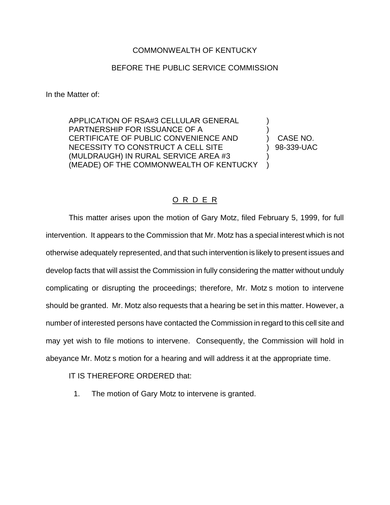## COMMONWEALTH OF KENTUCKY

## BEFORE THE PUBLIC SERVICE COMMISSION

In the Matter of:

APPLICATION OF RSA#3 CELLULAR GENERAL ) PARTNERSHIP FOR ISSUANCE OF A ) CERTIFICATE OF PUBLIC CONVENIENCE AND ) CASE NO. NECESSITY TO CONSTRUCT A CELL SITE (39-339-UAC (MULDRAUGH) IN RURAL SERVICE AREA #3 ) (MEADE) OF THE COMMONWEALTH OF KENTUCKY )

## O R D E R

This matter arises upon the motion of Gary Motz, filed February 5, 1999, for full intervention. It appears to the Commission that Mr. Motz has a special interest which is not otherwise adequately represented, and that such intervention is likely to present issues and develop facts that will assist the Commission in fully considering the matter without unduly complicating or disrupting the proceedings; therefore, Mr. Motz s motion to intervene should be granted. Mr. Motz also requests that a hearing be set in this matter. However, a number of interested persons have contacted the Commission in regard to this cell site and may yet wish to file motions to intervene. Consequently, the Commission will hold in abeyance Mr. Motz s motion for a hearing and will address it at the appropriate time.

IT IS THEREFORE ORDERED that:

1. The motion of Gary Motz to intervene is granted.